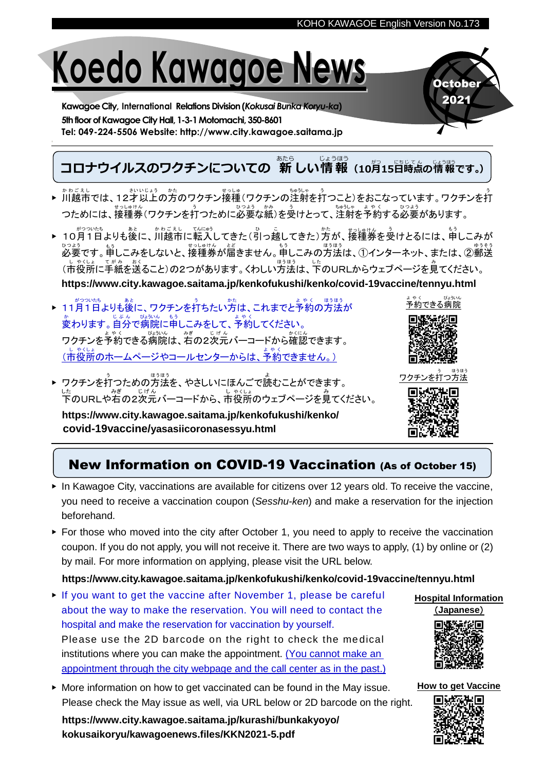# **Koedo Kawagoe News**

**Kawagoe City, International Relations Division(***Kokusai Bunka Koryu-ka***)** 5th floor of Kawagoe City Hall, 1-3-1 Motomachi, 350-8601 **Tel: 049-224-5506 Website: http://www.city.kawagoe.saitama.jp**

### **コロナウイルスのワクチンについての 新しい情報** (10月15日時点の情報です。)

- ▶ 川越市 か わ ご え し では、12才 さ い 以上 い じ ょ う の方 かた のワクチン接種 せ っ し ゅ (ワクチンの注射 ちゅうしゃ を打 う つこと)をおこなっています。ワクチンを打 う つためには、接種券(ワクチンを打つために必要な紙)を受けとって、注射を予約する必要があります。
- ▶ 10月1日よりも後に、川越市に転入してきた(引っ越してきた)方が、接種券を受けとるには、申しこみが 必要 ひつ よ う です。申 も う しこみをしないと、接種券 せ っ しゅけ ん が届 と ど きません。申 も う しこみの方法 ほ う ほ う は、①インターネット、または、②郵送 ゆ う そ う (市 し 役所 や く し ょ に手紙 て が み を送 お く ること)の2つがあります。くわしい方法 ほ う ほ う は、下 し た のURLからウェブページを見 み てください。 **https://www.city.kawagoe.saitama.jp/kenkofukushi/kenko/covid-19vaccine/tennyu.html**
- ▶ 11月1日よりも後に、ワクチンを打ちたい方は、これまでと予約の方法が 。<br>変わります。自分で病院に申しこみをして、予約してください。 ークチンを予約できる病院は、右の2次元バーコードから確認できます。 、」。。。。<br>(市役所のホームページやコールセンターからは、予約できません。)
- ▶ ワクチンを打つための方法を、やさしいにほんごで読むことができます。 した<br>下のURLや右の2次元バーコードから、市役所のウェブページを見てください。

**https://www.city.kawagoe.saitama.jp/kenkofukushi/kenko/ covid-19vaccine/yasasiicoronasessyu.html**



**October** 2021

ワクチ う つ方法 ほうほう



## New Information on COVID-19 Vaccination (As of October 15)

- ▶ In Kawagoe City, vaccinations are available for citizens over 12 years old. To receive the vaccine, you need to receive a vaccination coupon (*Sesshu-ken*) and make a reservation for the injection beforehand.
- ▶ For those who moved into the city after October 1, you need to apply to receive the vaccination coupon. If you do not apply, you will not receive it. There are two ways to apply, (1) by online or (2) by mail. For more information on applying, please visit the URL below.

## **https://www.city.kawagoe.saitama.jp/kenkofukushi/kenko/covid-19vaccine/tennyu.html**

- $\triangleright$  If you want to get the vaccine after November 1, please be careful about the way to make the reservation. You will need to contact the hospital and make the reservation for vaccination by yourself. Please use the 2D barcode on the right to check the medical institutions where you can make the appointment. (You cannot make an appointment through the city webpage and the call center as in the past.)
- ▶ More information on how to get vaccinated can be found in the May issue. Please check the May issue as well, via URL below or 2D barcode on the right.

**https://www.city.kawagoe.saitama.jp/kurashi/bunkakyoyo/ kokusaikoryu/kawagoenews.files/KKN2021-5.pdf**





**How to get Vaccine**